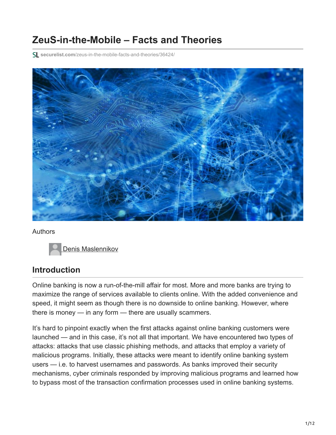# **ZeuS-in-the-Mobile – Facts and Theories**

**securelist.com**[/zeus-in-the-mobile-facts-and-theories/36424/](https://securelist.com/zeus-in-the-mobile-facts-and-theories/36424/)



#### Authors

[Denis Maslennikov](https://securelist.com/author/denis/)

## **Introduction**

Online banking is now a run-of-the-mill affair for most. More and more banks are trying to maximize the range of services available to clients online. With the added convenience and speed, it might seem as though there is no downside to online banking. However, where there is money — in any form — there are usually scammers.

It's hard to pinpoint exactly when the first attacks against online banking customers were launched — and in this case, it's not all that important. We have encountered two types of attacks: attacks that use classic phishing methods, and attacks that employ a variety of malicious programs. Initially, these attacks were meant to identify online banking system users — i.e. to harvest usernames and passwords. As banks improved their security mechanisms, cyber criminals responded by improving malicious programs and learned how to bypass most of the transaction confirmation processes used in online banking systems.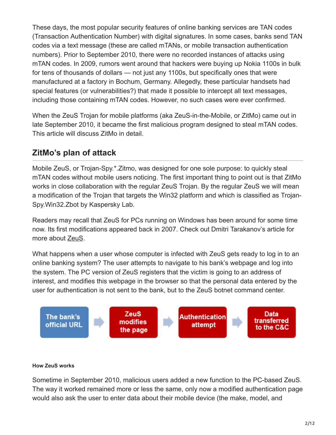These days, the most popular security features of online banking services are TAN codes (Transaction Authentication Number) with digital signatures. In some cases, banks send TAN codes via a text message (these are called mTANs, or mobile transaction authentication numbers). Prior to September 2010, there were no recorded instances of attacks using mTAN codes. In 2009, rumors went around that hackers were buying up Nokia 1100s in bulk for tens of thousands of dollars — not just any 1100s, but specifically ones that were manufactured at a factory in Bochum, Germany. Allegedly, these particular handsets had special features (or vulnerabilities?) that made it possible to intercept all text messages, including those containing mTAN codes. However, no such cases were ever confirmed.

When the ZeuS Trojan for mobile platforms (aka ZeuS-in-the-Mobile, or ZitMo) came out in late September 2010, it became the first malicious program designed to steal mTAN codes. This article will discuss ZitMo in detail.

# **ZitMo's plan of attack**

Mobile ZeuS, or Trojan-Spy.\*.Zitmo, was designed for one sole purpose: to quickly steal mTAN codes without mobile users noticing. The first important thing to point out is that ZitMo works in close collaboration with the regular ZeuS Trojan. By the regular ZeuS we will mean a modification of the Trojan that targets the Win32 platform and which is classified as Trojan-Spy.Win32.Zbot by Kaspersky Lab.

Readers may recall that ZeuS for PCs running on Windows has been around for some time now. Its first modifications appeared back in 2007. Check out Dmitri Tarakanov's article for more about [ZeuS.](https://securelist.com/zeus-on-the-hunt/36289/)

What happens when a user whose computer is infected with ZeuS gets ready to log in to an online banking system? The user attempts to navigate to his bank's webpage and log into the system. The PC version of ZeuS registers that the victim is going to an address of interest, and modifies this webpage in the browser so that the personal data entered by the user for authentication is not sent to the bank, but to the ZeuS botnet command center.



#### **How ZeuS works**

Sometime in September 2010, malicious users added a new function to the PC-based ZeuS. The way it worked remained more or less the same, only now a modified authentication page would also ask the user to enter data about their mobile device (the make, model, and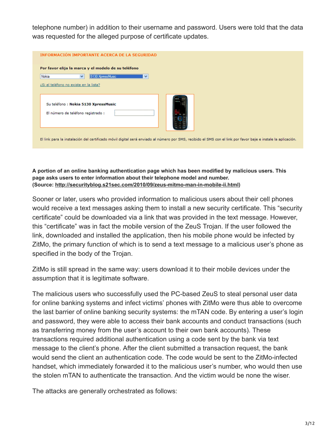telephone number) in addition to their username and password. Users were told that the data was requested for the alleged purpose of certificate updates.

| INFORMACIÓN IMPORTANTE ACERCA DE LA SEGURIDAD<br>Por favor elija la marca y el modelo de su teléfono                                                          |  |
|---------------------------------------------------------------------------------------------------------------------------------------------------------------|--|
| Nokia<br>5130 XpressMusic<br>$\checkmark$<br>$\checkmark$                                                                                                     |  |
| ¿Si el teléfono no existe en la lista?                                                                                                                        |  |
| Su teléfono: Nokia 5130 XpressMusic<br>El número de teléfono registrado :                                                                                     |  |
|                                                                                                                                                               |  |
| El link para la instalación del certificado móvil digital será enviado al número por SMS, recibido el SMS con el link por favor baje e instale la aplicación. |  |

**A portion of an online banking authentication page which has been modified by malicious users. This page asks users to enter information about their telephone model and number. (Source: [http://securityblog.s21sec.com/2010/09/zeus-mitmo-man-in-mobile-ii.html\)](http://securityblog.s21sec.com/2010/09/zeus-mitmo-man-in-mobile-ii.html)**

Sooner or later, users who provided information to malicious users about their cell phones would receive a text messages asking them to install a new security certificate. This "security certificate" could be downloaded via a link that was provided in the text message. However, this "certificate" was in fact the mobile version of the ZeuS Trojan. If the user followed the link, downloaded and installed the application, then his mobile phone would be infected by ZitMo, the primary function of which is to send a text message to a malicious user's phone as specified in the body of the Trojan.

ZitMo is still spread in the same way: users download it to their mobile devices under the assumption that it is legitimate software.

The malicious users who successfully used the PC-based ZeuS to steal personal user data for online banking systems and infect victims' phones with ZitMo were thus able to overcome the last barrier of online banking security systems: the mTAN code. By entering a user's login and password, they were able to access their bank accounts and conduct transactions (such as transferring money from the user's account to their own bank accounts). These transactions required additional authentication using a code sent by the bank via text message to the client's phone. After the client submitted a transaction request, the bank would send the client an authentication code. The code would be sent to the ZitMo-infected handset, which immediately forwarded it to the malicious user's number, who would then use the stolen mTAN to authenticate the transaction. And the victim would be none the wiser.

The attacks are generally orchestrated as follows: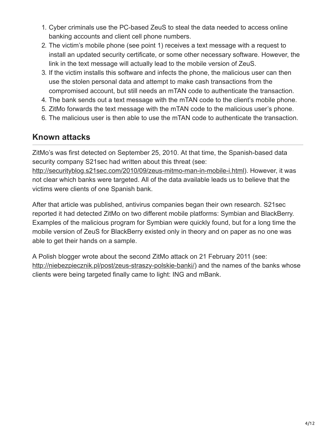- 1. Cyber criminals use the PC-based ZeuS to steal the data needed to access online banking accounts and client cell phone numbers.
- 2. The victim's mobile phone (see point 1) receives a text message with a request to install an updated security certificate, or some other necessary software. However, the link in the text message will actually lead to the mobile version of ZeuS.
- 3. If the victim installs this software and infects the phone, the malicious user can then use the stolen personal data and attempt to make cash transactions from the compromised account, but still needs an mTAN code to authenticate the transaction.
- 4. The bank sends out a text message with the mTAN code to the client's mobile phone.
- 5. ZitMo forwards the text message with the mTAN code to the malicious user's phone.
- 6. The malicious user is then able to use the mTAN code to authenticate the transaction.

### **Known attacks**

ZitMo's was first detected on September 25, 2010. At that time, the Spanish-based data security company S21sec had written about this threat (see:

[http://securityblog.s21sec.com/2010/09/zeus-mitmo-man-in-mobile-i.html\)](http://securityblog.s21sec.com/2010/09/zeus-mitmo-man-in-mobile-i.html). However, it was not clear which banks were targeted. All of the data available leads us to believe that the victims were clients of one Spanish bank.

After that article was published, antivirus companies began their own research. S21sec reported it had detected ZitMo on two different mobile platforms: Symbian and BlackBerry. Examples of the malicious program for Symbian were quickly found, but for a long time the mobile version of ZeuS for BlackBerry existed only in theory and on paper as no one was able to get their hands on a sample.

A Polish blogger wrote about the second ZitMo attack on 21 February 2011 (see: [http://niebezpiecznik.pl/post/zeus-straszy-polskie-banki/\)](http://niebezpiecznik.pl/post/zeus-straszy-polskie-banki/) and the names of the banks whose clients were being targeted finally came to light: ING and mBank.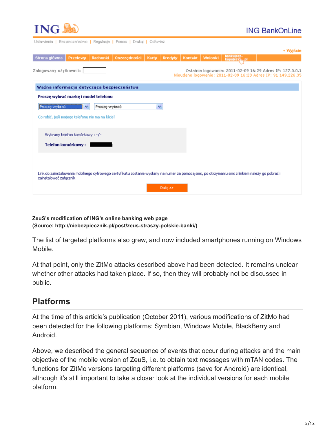

### **ING BankOnLine**

| OSIGANIGHIG   DETMECTGHZMAO   L'EÑMOCIC   LOUIDC   PLANAI   COSANIGT                                       |                                 |               |                                                                                                                                                |       |          |         |         |                            |                                                                                                                          |
|------------------------------------------------------------------------------------------------------------|---------------------------------|---------------|------------------------------------------------------------------------------------------------------------------------------------------------|-------|----------|---------|---------|----------------------------|--------------------------------------------------------------------------------------------------------------------------|
|                                                                                                            |                                 |               |                                                                                                                                                |       |          |         |         |                            | → Wviście                                                                                                                |
| Strona główna                                                                                              | Przelewy                        | Rachunki      | Oszczędności                                                                                                                                   | Karty | Kredyty  | Kontakt | Wnioski | bankujesz-<br>kupujesz\,pl |                                                                                                                          |
| Zalogowany użytkownik:                                                                                     |                                 |               |                                                                                                                                                |       |          |         |         |                            | Ostatnie logowanie: 2011-02-09 16:29 Adres IP: 127.0.0.1<br>Nieudane Iogowanie: 2011-02-09 16:28 Adres IP: 91.149.226.35 |
| Ważna informacja dotycząca bezpieczeństwa                                                                  |                                 |               |                                                                                                                                                |       |          |         |         |                            |                                                                                                                          |
| Proszę wybrać markę i model telefonu<br>Proszę wybrać<br>Co robić, jeśli mojego telefonu nie ma na liście? |                                 | Proszę wybrać |                                                                                                                                                | v     |          |         |         |                            |                                                                                                                          |
| Telefon komórkowy:                                                                                         | Wybrany telefon komórkowy : -/- |               |                                                                                                                                                |       |          |         |         |                            |                                                                                                                          |
| zainstalować załącznik                                                                                     |                                 |               | Link do zainstalowania mobilnego cyfrowego certyfikatu zostanie wysłany na numer za pomocą sms, po otrzymaniu sms z linkiem należy go pobrać i |       | Dalej >> |         |         |                            |                                                                                                                          |

#### **ZeuS's modification of ING's online banking web page (Source: <http://niebezpiecznik.pl/post/zeus-straszy-polskie-banki/>)**

The list of targeted platforms also grew, and now included smartphones running on Windows Mobile.

At that point, only the ZitMo attacks described above had been detected. It remains unclear whether other attacks had taken place. If so, then they will probably not be discussed in public.

## **Platforms**

At the time of this article's publication (October 2011), various modifications of ZitMo had been detected for the following platforms: Symbian, Windows Mobile, BlackBerry and Android.

Above, we described the general sequence of events that occur during attacks and the main objective of the mobile version of ZeuS, i.e. to obtain text messages with mTAN codes. The functions for ZitMo versions targeting different platforms (save for Android) are identical, although it's still important to take a closer look at the individual versions for each mobile platform.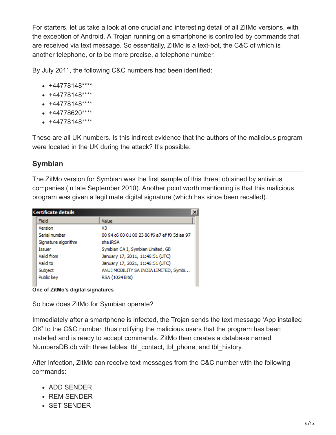For starters, let us take a look at one crucial and interesting detail of all ZitMo versions, with the exception of Android. A Trojan running on a smartphone is controlled by commands that are received via text message. So essentially, ZitMo is a text-bot, the C&C of which is another telephone, or to be more precise, a telephone number.

By July 2011, the following C&C numbers had been identified:

- $+44778148***$
- $+44778148***$
- $+44778148***$
- $+44778620***$
- $+44778148***$

These are all UK numbers. Is this indirect evidence that the authors of the malicious program were located in the UK during the attack? It's possible.

### **Symbian**

The ZitMo version for Symbian was the first sample of this threat obtained by antivirus companies (in late September 2010). Another point worth mentioning is that this malicious program was given a legitimate digital signature (which has since been recalled).

| <b>Certificate details</b> | $\boldsymbol{\mathsf{x}}$                    |
|----------------------------|----------------------------------------------|
| Field                      | Value                                        |
| Version                    | V3                                           |
| Serial number              | 00.94 c6.00.01.00.23.86 f6 a7 ef f0.5d aa.97 |
| Signature algorithm        | sha IRSA                                     |
| Issuer                     | Symbian CA I, Symbian Limited, GB            |
| Valid from                 | January 17, 2011, 11:46:51 (UTC)             |
| Valid to                   | January 17, 2021, 11:46:51 (UTC)             |
| Subject                    | ANUJ MOBILITY SA INDIA LIMITED, Symbi        |
| Public key                 | RSA (1024 Bits)                              |
|                            |                                              |

**One of ZitMo's digital signatures**

So how does ZitMo for Symbian operate?

Immediately after a smartphone is infected, the Trojan sends the text message 'App installed OK' to the C&C number, thus notifying the malicious users that the program has been installed and is ready to accept commands. ZitMo then creates a database named NumbersDB db with three tables: tbl\_contact, tbl\_phone, and tbl\_history.

After infection, ZitMo can receive text messages from the C&C number with the following commands:

- ADD SENDER
- REM SENDER
- SET SENDER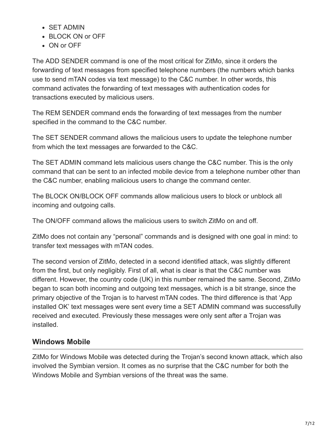- SET ADMIN
- BLOCK ON or OFF
- ON or OFF

The ADD SENDER command is one of the most critical for ZitMo, since it orders the forwarding of text messages from specified telephone numbers (the numbers which banks use to send mTAN codes via text message) to the C&C number. In other words, this command activates the forwarding of text messages with authentication codes for transactions executed by malicious users.

The REM SENDER command ends the forwarding of text messages from the number specified in the command to the C&C number.

The SET SENDER command allows the malicious users to update the telephone number from which the text messages are forwarded to the C&C.

The SET ADMIN command lets malicious users change the C&C number. This is the only command that can be sent to an infected mobile device from a telephone number other than the C&C number, enabling malicious users to change the command center.

The BLOCK ON/BLOCK OFF commands allow malicious users to block or unblock all incoming and outgoing calls.

The ON/OFF command allows the malicious users to switch ZitMo on and off.

ZitMo does not contain any "personal" commands and is designed with one goal in mind: to transfer text messages with mTAN codes.

The second version of ZitMo, detected in a second identified attack, was slightly different from the first, but only negligibly. First of all, what is clear is that the C&C number was different. However, the country code (UK) in this number remained the same. Second, ZitMo began to scan both incoming and outgoing text messages, which is a bit strange, since the primary objective of the Trojan is to harvest mTAN codes. The third difference is that 'App installed OK' text messages were sent every time a SET ADMIN command was successfully received and executed. Previously these messages were only sent after a Trojan was installed.

### **Windows Mobile**

ZitMo for Windows Mobile was detected during the Trojan's second known attack, which also involved the Symbian version. It comes as no surprise that the C&C number for both the Windows Mobile and Symbian versions of the threat was the same.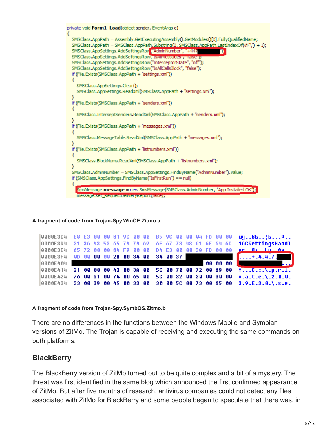

#### **A fragment of code from Trojan-Spy.WinCE.Zitmo.a**

|          |  |  |  |  |  |  |  |  | 0000E3C4 E8 E3 00 00 81 9C 00 00 B5 9C 00 00 04 FD 00 00 my6b}b¤<br>0000E3D4 31 36 43 53 65 74 74 69 6E 67 73 48 61 6E 64 6C 16CSettingsHandl<br>0000E3E4 65 72 00 00 84 F9 00 00 D4 E3 00 00 38 FD 00 00 pr 0. In 88 |
|----------|--|--|--|--|--|--|--|--|-----------------------------------------------------------------------------------------------------------------------------------------------------------------------------------------------------------------------|
|          |  |  |  |  |  |  |  |  |                                                                                                                                                                                                                       |
| 0000E404 |  |  |  |  |  |  |  |  | <u>да на представите се примерен во 1909 година, во 1909 година, во 1909 година, во 1911 година, во 1911 година, </u>                                                                                                 |
|          |  |  |  |  |  |  |  |  | 0000E414 21 00 00 00 43 00 3A 00 5C 00 70 00 72 00 69 00 :C.:.\.p.r.i.                                                                                                                                                |
|          |  |  |  |  |  |  |  |  | 0000E424 76 00 61 00 74 00 65 00 5C 00 32 00 30 00 30 00 v.a.t.e.\.2.0.0.                                                                                                                                             |
|          |  |  |  |  |  |  |  |  | 0000E434 33 00 39 00 45 00 33 00 30 00 50 00 73 00 65 00 3.9.E.3.0.\.s.e.                                                                                                                                             |

#### **A fragment of code from Trojan-Spy.SymbOS.Zitmo.b**

There are no differences in the functions between the Windows Mobile and Symbian versions of ZitMo. The Trojan is capable of receiving and executing the same commands on both platforms.

### **BlackBerry**

The BlackBerry version of ZitMo turned out to be quite complex and a bit of a mystery. The threat was first identified in the same blog which announced the first confirmed appearance of ZitMo. But after five months of research, antivirus companies could not detect any files associated with ZitMo for BlackBerry and some people began to speculate that there was, in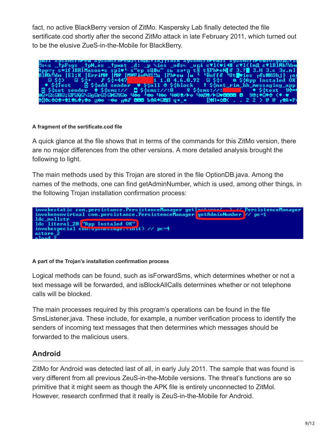fact, no active BlackBerry version of ZitMo. Kaspersky Lab finally detected the file sertificate.cod shortly after the second ZitMo attack in late February 2011, which turned out to be the elusive ZueS-in-the-Mobile for BlackBerry.



#### **A fragment of the sertificate.cod file**

A quick glance at the file shows that in terms of the commands for this ZitMo version, there are no major differences from the other versions. A more detailed analysis brought the following to light.

The main methods used by this Trojan are stored in the file OptionDB.java. Among the names of the methods, one can find getAdminNumber, which is used, among other things, in the following Trojan installation confirmation process:



#### **A part of the Trojan's installation confirmation process**

Logical methods can be found, such as isForwardSms, which determines whether or not a text message will be forwarded, and isBlockAllCalls determines whether or not telephone calls will be blocked.

The main processes required by this program's operations can be found in the file SmsListener.java. These include, for example, a number verification process to identify the senders of incoming text messages that then determines which messages should be forwarded to the malicious users.

### **Android**

ZitMo for Android was detected last of all, in early July 2011. The sample that was found is very different from all previous ZeuS-in-the-Mobile versions. The threat's functions are so primitive that it might seem as though the APK file is entirely unconnected to ZitMol. However, research confirmed that it really is ZeuS-in-the-Mobile for Android.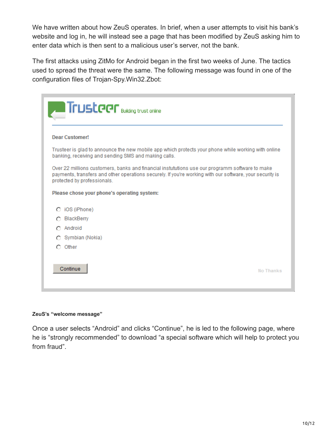We have written about how ZeuS operates. In brief, when a user attempts to visit his bank's website and log in, he will instead see a page that has been modified by ZeuS asking him to enter data which is then sent to a malicious user's server, not the bank.

The first attacks using ZitMo for Android began in the first two weeks of June. The tactics used to spread the threat were the same. The following message was found in one of the configuration files of Trojan-Spy.Win32.Zbot:

| <b>Trusteer</b> Building trust online                                                                                                                                                                                                     |           |
|-------------------------------------------------------------------------------------------------------------------------------------------------------------------------------------------------------------------------------------------|-----------|
| Dear Customer!                                                                                                                                                                                                                            |           |
| Trusteer is glad to announce the new mobile app which protects your phone while working with online<br>banking, receiving and sending SMS and making calls.                                                                               |           |
| Over 22 millions customers, banks and financial instututions use our programm software to make<br>payments, transfers and other operations securely. If you're working with our software, your security is<br>protected by professionals. |           |
| Please chose your phone's operating system:                                                                                                                                                                                               |           |
| iOS (iPhone)                                                                                                                                                                                                                              |           |
| BlackBerry                                                                                                                                                                                                                                |           |
| Android                                                                                                                                                                                                                                   |           |
| Symbian (Nokia)                                                                                                                                                                                                                           |           |
| Other<br>o                                                                                                                                                                                                                                |           |
| Continue                                                                                                                                                                                                                                  | No Thanks |

#### **ZeuS's "welcome message"**

Once a user selects "Android" and clicks "Continue", he is led to the following page, where he is "strongly recommended" to download "a special software which will help to protect you from fraud".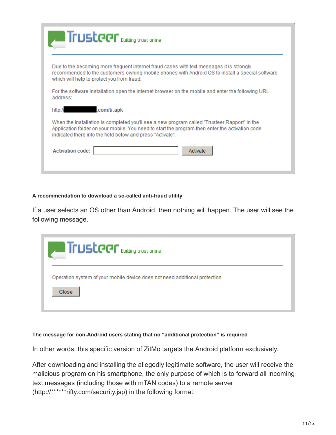|                                            | <b>Trusteer</b> Building trust online                                                                                                                                                                                                                         |
|--------------------------------------------|---------------------------------------------------------------------------------------------------------------------------------------------------------------------------------------------------------------------------------------------------------------|
| which will help to protect you from fraud. | Due to the becoming more frequent internet fraud cases with text messages it is strongly<br>recommended to the customers owning mobile phones with Android OS to install a special software                                                                   |
| address:                                   | For the software installation open the internet browser on the mobile and enter the following URL                                                                                                                                                             |
| http://                                    | .com/tr.apk                                                                                                                                                                                                                                                   |
|                                            | When the installation is completed you'll see a new program called "Trusteer Rapport" in the<br>Application folder on your mobile. You need to start the program then enter the activation code<br>indicated there into the field below and press "Activate". |
| <b>Activation code:</b>                    | Activate                                                                                                                                                                                                                                                      |

#### **A recommendation to download a so-called anti-fraud utility**

If a user selects an OS other than Android, then nothing will happen. The user will see the following message.

| <b>Trustader</b> Building trust online                                               |  |
|--------------------------------------------------------------------------------------|--|
| Operation system of your mobile device does not need additional protection.<br>Close |  |
|                                                                                      |  |

#### **The message for non-Android users stating that no "additional protection" is required**

In other words, this specific version of ZitMo targets the Android platform exclusively.

After downloading and installing the allegedly legitimate software, the user will receive the malicious program on his smartphone, the only purpose of which is to forward all incoming text messages (including those with mTAN codes) to a remote server (http://\*\*\*\*\*\*rifty.com/security.jsp) in the following format: